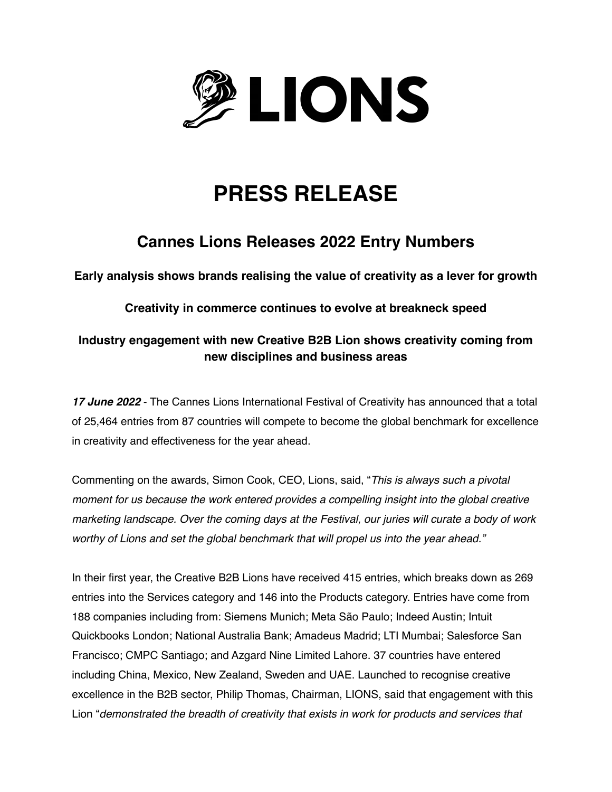

# **PRESS RELEASE**

## **Cannes Lions Releases 2022 Entry Numbers**

**Early analysis shows brands realising the value of creativity as a lever for growth**

**Creativity in commerce continues to evolve at breakneck speed**

### **Industry engagement with new Creative B2B Lion shows creativity coming from new disciplines and business areas**

*17 June 2022* - The Cannes Lions International Festival of Creativity has announced that a total of 25,464 entries from 87 countries will compete to become the global benchmark for excellence in creativity and effectiveness for the year ahead.

Commenting on the awards, Simon Cook, CEO, Lions, said, "*This is always such a pivotal moment for us because the work entered provides a compelling insight into the global creative marketing landscape. Over the coming days at the Festival, our juries will curate a body of work worthy of Lions and set the global benchmark that will propel us into the year ahead."*

In their first year, the Creative B2B Lions have received 415 entries, which breaks down as 269 entries into the Services category and 146 into the Products category. Entries have come from 188 companies including from: Siemens Munich; Meta São Paulo; Indeed Austin; Intuit Quickbooks London; National Australia Bank; Amadeus Madrid; LTI Mumbai; Salesforce San Francisco; CMPC Santiago; and Azgard Nine Limited Lahore. 37 countries have entered including China, Mexico, New Zealand, Sweden and UAE. Launched to recognise creative excellence in the B2B sector, Philip Thomas, Chairman, LIONS, said that engagement with this Lion "*demonstrated the breadth of creativity that exists in work for products and services that*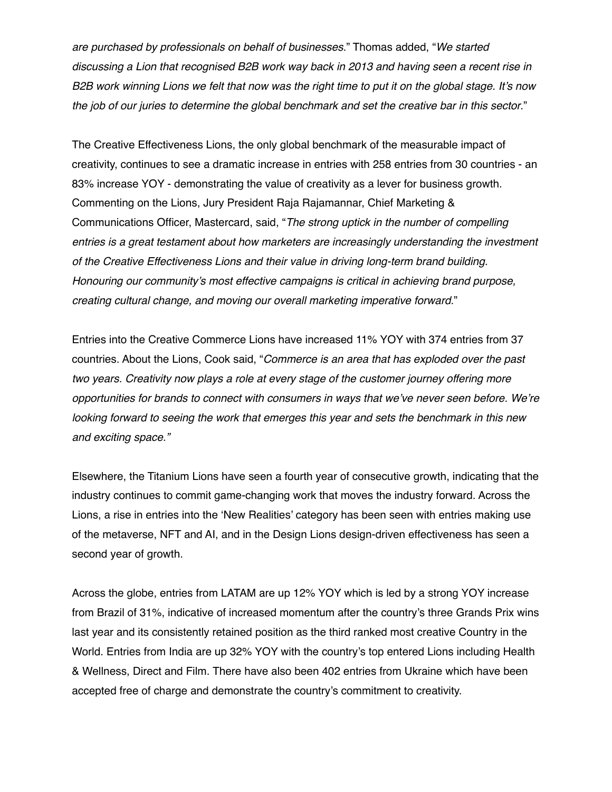*are purchased by professionals on behalf of businesses*." Thomas added, "*We started discussing a Lion that recognised B2B work way back in 2013 and having seen a recent rise in B2B work winning Lions we felt that now was the right time to put it on the global stage. It's now the job of our juries to determine the global benchmark and set the creative bar in this sector*."

The Creative Effectiveness Lions, the only global benchmark of the measurable impact of creativity, continues to see a dramatic increase in entries with 258 entries from 30 countries - an 83% increase YOY - demonstrating the value of creativity as a lever for business growth. Commenting on the Lions, Jury President Raja Rajamannar, Chief Marketing & Communications Officer, Mastercard, said, "*The strong uptick in the number of compelling entries is a great testament about how marketers are increasingly understanding the investment of the Creative Effectiveness Lions and their value in driving long-term brand building. Honouring our community's most effective campaigns is critical in achieving brand purpose, creating cultural change, and moving our overall marketing imperative forward.*"

Entries into the Creative Commerce Lions have increased 11% YOY with 374 entries from 37 countries. About the Lions, Cook said, "*Commerce is an area that has exploded over the past two years. Creativity now plays a role at every stage of the customer journey offering more opportunities for brands to connect with consumers in ways that we've never seen before. We're looking forward to seeing the work that emerges this year and sets the benchmark in this new and exciting space."*

Elsewhere, the Titanium Lions have seen a fourth year of consecutive growth, indicating that the industry continues to commit game-changing work that moves the industry forward. Across the Lions, a rise in entries into the 'New Realities' category has been seen with entries making use of the metaverse, NFT and AI, and in the Design Lions design-driven effectiveness has seen a second year of growth.

Across the globe, entries from LATAM are up 12% YOY which is led by a strong YOY increase from Brazil of 31%, indicative of increased momentum after the country's three Grands Prix wins last year and its consistently retained position as the third ranked most creative Country in the World. Entries from India are up 32% YOY with the country's top entered Lions including Health & Wellness, Direct and Film. There have also been 402 entries from Ukraine which have been accepted free of charge and demonstrate the country's commitment to creativity.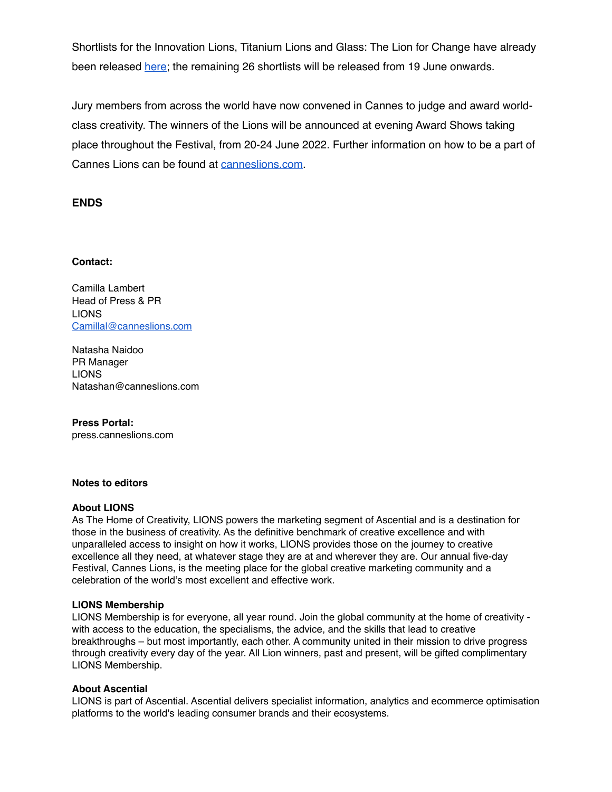Shortlists for the Innovation Lions, Titanium Lions and Glass: The Lion for Change have already been released [here;](https://www.lovethework.com/en-GB/awards-2022) the remaining 26 shortlists will be released from 19 June onwards.

Jury members from across the world have now convened in Cannes to judge and award worldclass creativity. The winners of the Lions will be announced at evening Award Shows taking place throughout the Festival, from 20-24 June 2022. Further information on how to be a part of Cannes Lions can be found at [canneslions.com](http://www.canneslions.com).

#### **ENDS**

#### **Contact:**

Camilla Lambert Head of Press & PR LIONS [Camillal@canneslions.com](mailto:Camillal@canneslions.com)

Natasha Naidoo PR Manager LIONS Natashan@canneslions.com

**Press Portal:** press.canneslions.com

#### **Notes to editors**

#### **About LIONS**

As The Home of Creativity, LIONS powers the marketing segment of Ascential and is a destination for those in the business of creativity. As the definitive benchmark of creative excellence and with unparalleled access to insight on how it works, LIONS provides those on the journey to creative excellence all they need, at whatever stage they are at and wherever they are. Our annual five-day Festival, Cannes Lions, is the meeting place for the global creative marketing community and a celebration of the world's most excellent and effective work.

#### **LIONS Membership**

LIONS Membership is for everyone, all year round. Join the global community at the home of creativity with access to the education, the specialisms, the advice, and the skills that lead to creative breakthroughs – but most importantly, each other. A community united in their mission to drive progress through creativity every day of the year. All Lion winners, past and present, will be gifted complimentary LIONS Membership.

#### **About Ascential**

LIONS is part of Ascential. Ascential delivers specialist information, analytics and ecommerce optimisation platforms to the world's leading consumer brands and their ecosystems.